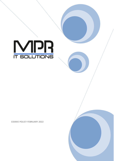

COOKIE POLICY FEBRUARY 2022